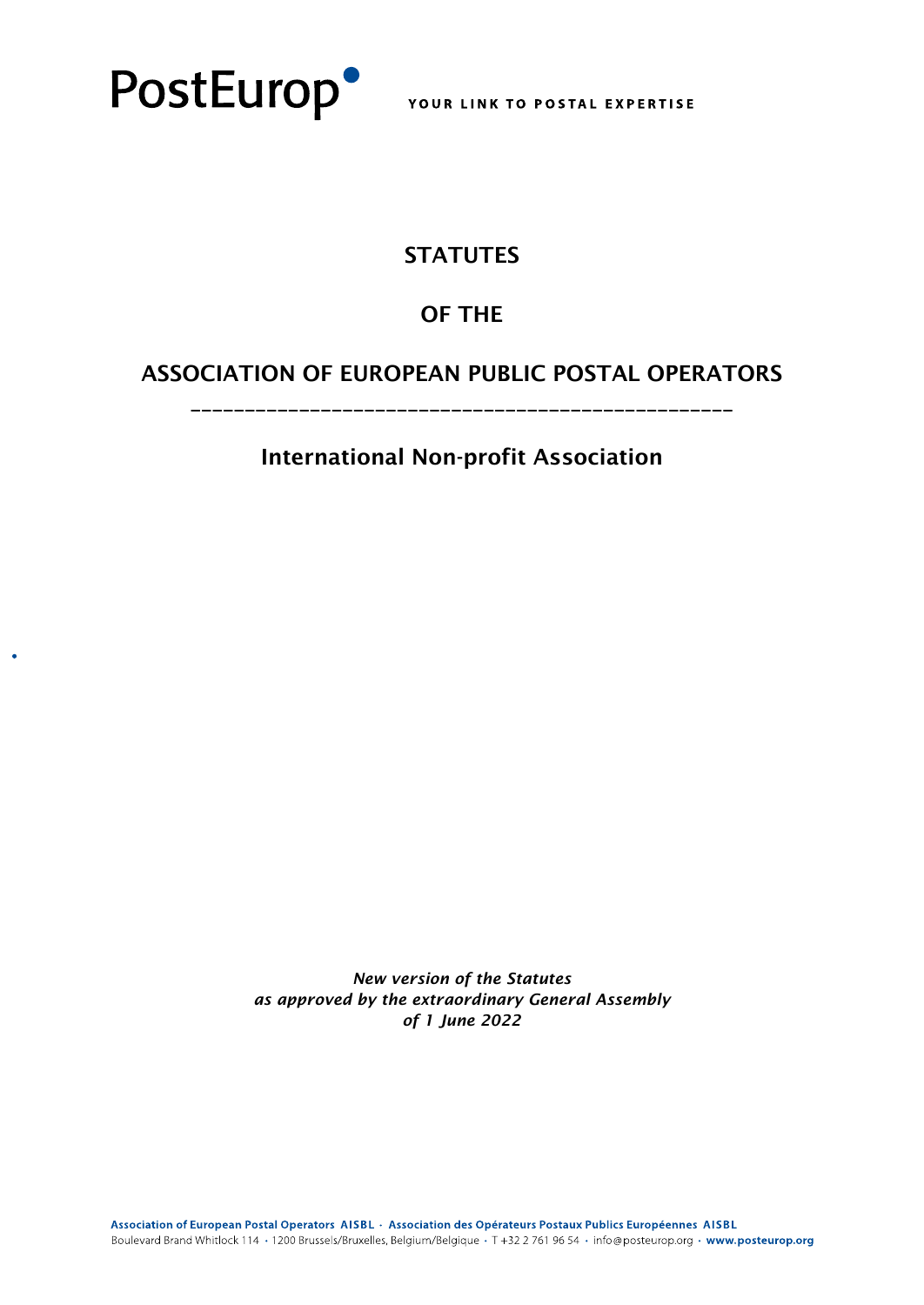

## **STATUTES**

## OF THE

## ASSOCIATION OF EUROPEAN PUBLIC POSTAL OPERATORS

\_\_\_\_\_\_\_\_\_\_\_\_\_\_\_\_\_\_\_\_\_\_\_\_\_\_\_\_\_\_\_\_\_\_\_\_\_\_\_\_\_\_\_\_\_\_\_\_\_\_

International Non-profit Association

*New version of the Statutes as approved by the extraordinary General Assembly of 1 June 2022*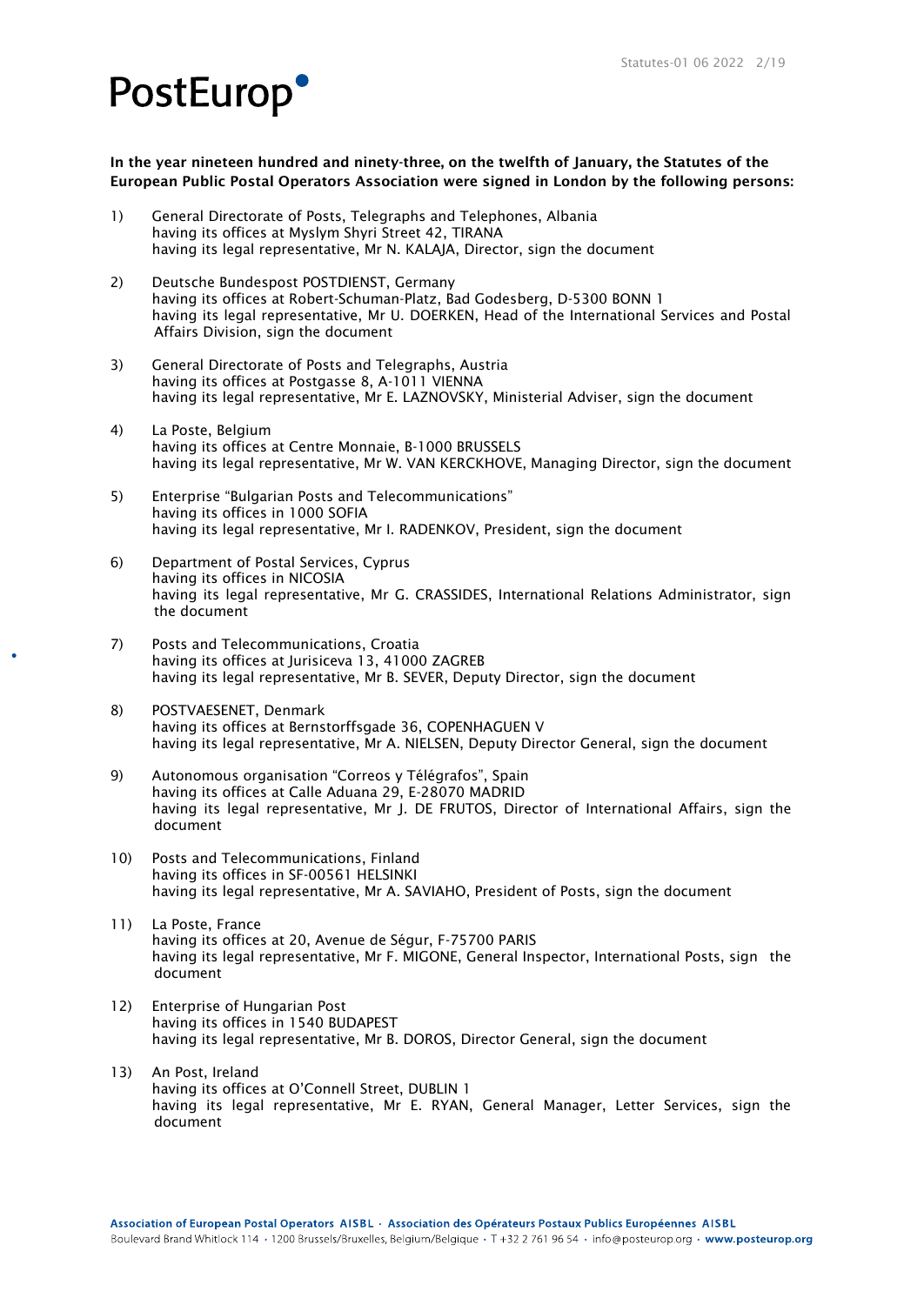### In the year nineteen hundred and ninety-three, on the twelfth of January, the Statutes of the European Public Postal Operators Association were signed in London by the following persons:

- 1) General Directorate of Posts, Telegraphs and Telephones, Albania having its offices at Myslym Shyri Street 42, TIRANA having its legal representative, Mr N. KALAJA, Director, sign the document
- 2) Deutsche Bundespost POSTDIENST, Germany having its offices at Robert-Schuman-Platz, Bad Godesberg, D-5300 BONN 1 having its legal representative, Mr U. DOERKEN, Head of the International Services and Postal Affairs Division, sign the document
- 3) General Directorate of Posts and Telegraphs, Austria having its offices at Postgasse 8, A-1011 VIENNA having its legal representative, Mr E. LAZNOVSKY, Ministerial Adviser, sign the document
- 4) La Poste, Belgium having its offices at Centre Monnaie, B-1000 BRUSSELS having its legal representative, Mr W. VAN KERCKHOVE, Managing Director, sign the document
- 5) Enterprise "Bulgarian Posts and Telecommunications" having its offices in 1000 SOFIA having its legal representative, Mr I. RADENKOV, President, sign the document
- 6) Department of Postal Services, Cyprus having its offices in NICOSIA having its legal representative, Mr G. CRASSIDES, International Relations Administrator, sign the document
- 7) Posts and Telecommunications, Croatia having its offices at Jurisiceva 13, 41000 ZAGREB having its legal representative, Mr B. SEVER, Deputy Director, sign the document
- 8) POSTVAESENET, Denmark having its offices at Bernstorffsgade 36, COPENHAGUEN V having its legal representative, Mr A. NIELSEN, Deputy Director General, sign the document
- 9) Autonomous organisation "Correos y Télégrafos", Spain having its offices at Calle Aduana 29, E-28070 MADRID having its legal representative, Mr J. DE FRUTOS, Director of International Affairs, sign the document
- 10) Posts and Telecommunications, Finland having its offices in SF-00561 HELSINKI having its legal representative, Mr A. SAVIAHO, President of Posts, sign the document
- 11) La Poste, France having its offices at 20, Avenue de Ségur, F-75700 PARIS having its legal representative, Mr F. MIGONE, General Inspector, International Posts, sign the document
- 12) Enterprise of Hungarian Post having its offices in 1540 BUDAPEST having its legal representative, Mr B. DOROS, Director General, sign the document
- 13) An Post, Ireland having its offices at O'Connell Street, DUBLIN 1 having its legal representative, Mr E. RYAN, General Manager, Letter Services, sign the document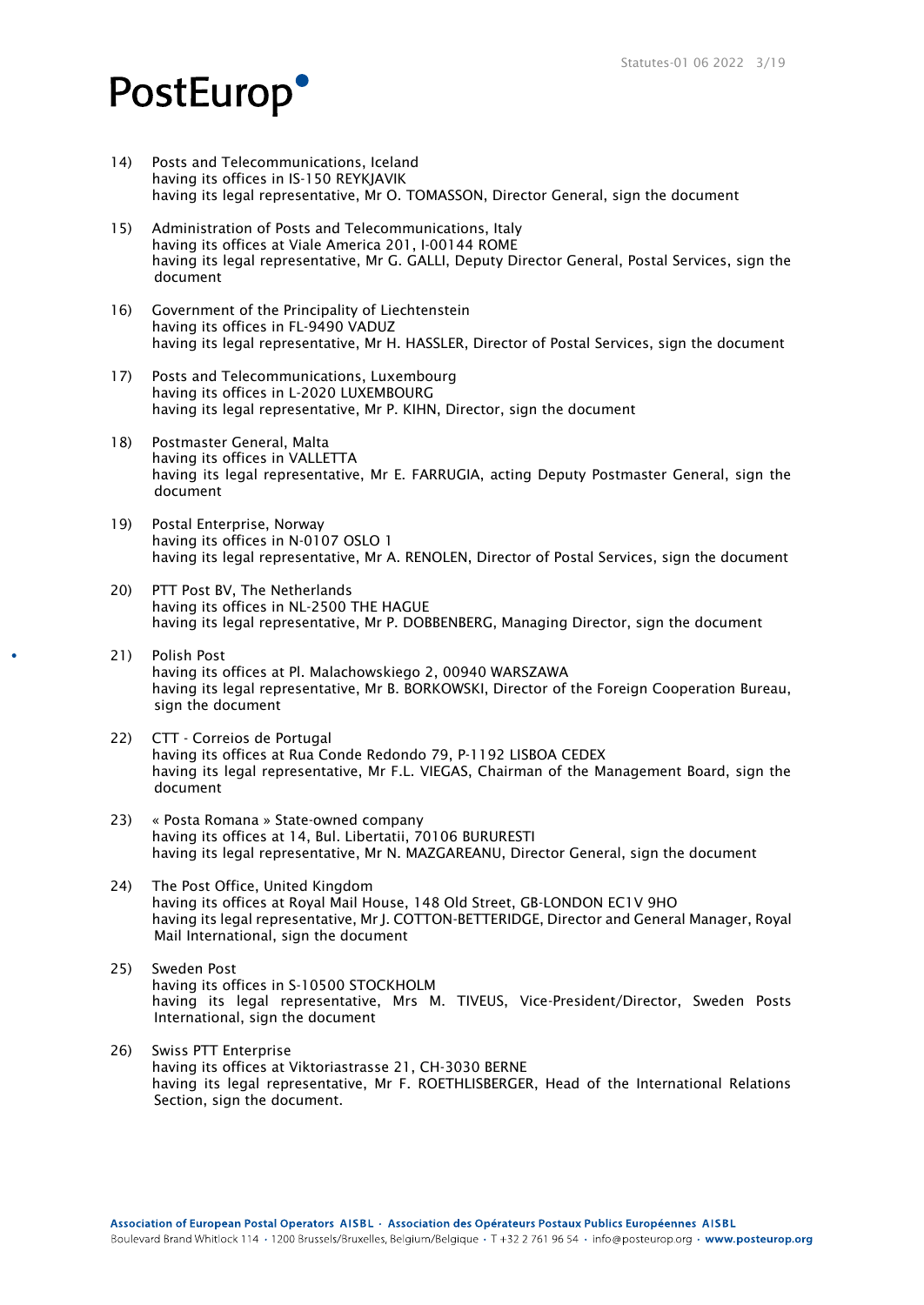- 14) Posts and Telecommunications, Iceland having its offices in IS-150 REYKJAVIK having its legal representative, Mr O. TOMASSON, Director General, sign the document
- 15) Administration of Posts and Telecommunications, Italy having its offices at Viale America 201, I-00144 ROME having its legal representative, Mr G. GALLI, Deputy Director General, Postal Services, sign the document
- 16) Government of the Principality of Liechtenstein having its offices in FL-9490 VADUZ having its legal representative, Mr H. HASSLER, Director of Postal Services, sign the document
- 17) Posts and Telecommunications, Luxembourg having its offices in L-2020 LUXEMBOURG having its legal representative, Mr P. KIHN, Director, sign the document
- 18) Postmaster General, Malta having its offices in VALLETTA having its legal representative, Mr E. FARRUGIA, acting Deputy Postmaster General, sign the document
- 19) Postal Enterprise, Norway having its offices in N-0107 OSLO 1 having its legal representative, Mr A. RENOLEN, Director of Postal Services, sign the document
- 20) PTT Post BV, The Netherlands having its offices in NL-2500 THE HAGUE having its legal representative, Mr P. DOBBENBERG, Managing Director, sign the document
- 21) Polish Post having its offices at Pl. Malachowskiego 2, 00940 WARSZAWA having its legal representative, Mr B. BORKOWSKI, Director of the Foreign Cooperation Bureau, sign the document
- 22) CTT Correios de Portugal having its offices at Rua Conde Redondo 79, P-1192 LISBOA CEDEX having its legal representative, Mr F.L. VIEGAS, Chairman of the Management Board, sign the document
- 23) « Posta Romana » State-owned company having its offices at 14, Bul. Libertatii, 70106 BURURESTI having its legal representative, Mr N. MAZGAREANU, Director General, sign the document
- 24) The Post Office, United Kingdom having its offices at Royal Mail House, 148 Old Street, GB-LONDON EC1V 9HO having its legal representative, Mr J. COTTON-BETTERIDGE, Director and General Manager, Royal Mail International, sign the document
- 25) Sweden Post having its offices in S-10500 STOCKHOLM having its legal representative, Mrs M. TIVEUS, Vice-President/Director, Sweden Posts International, sign the document
- 26) Swiss PTT Enterprise having its offices at Viktoriastrasse 21, CH-3030 BERNE having its legal representative, Mr F. ROETHLISBERGER, Head of the International Relations Section, sign the document.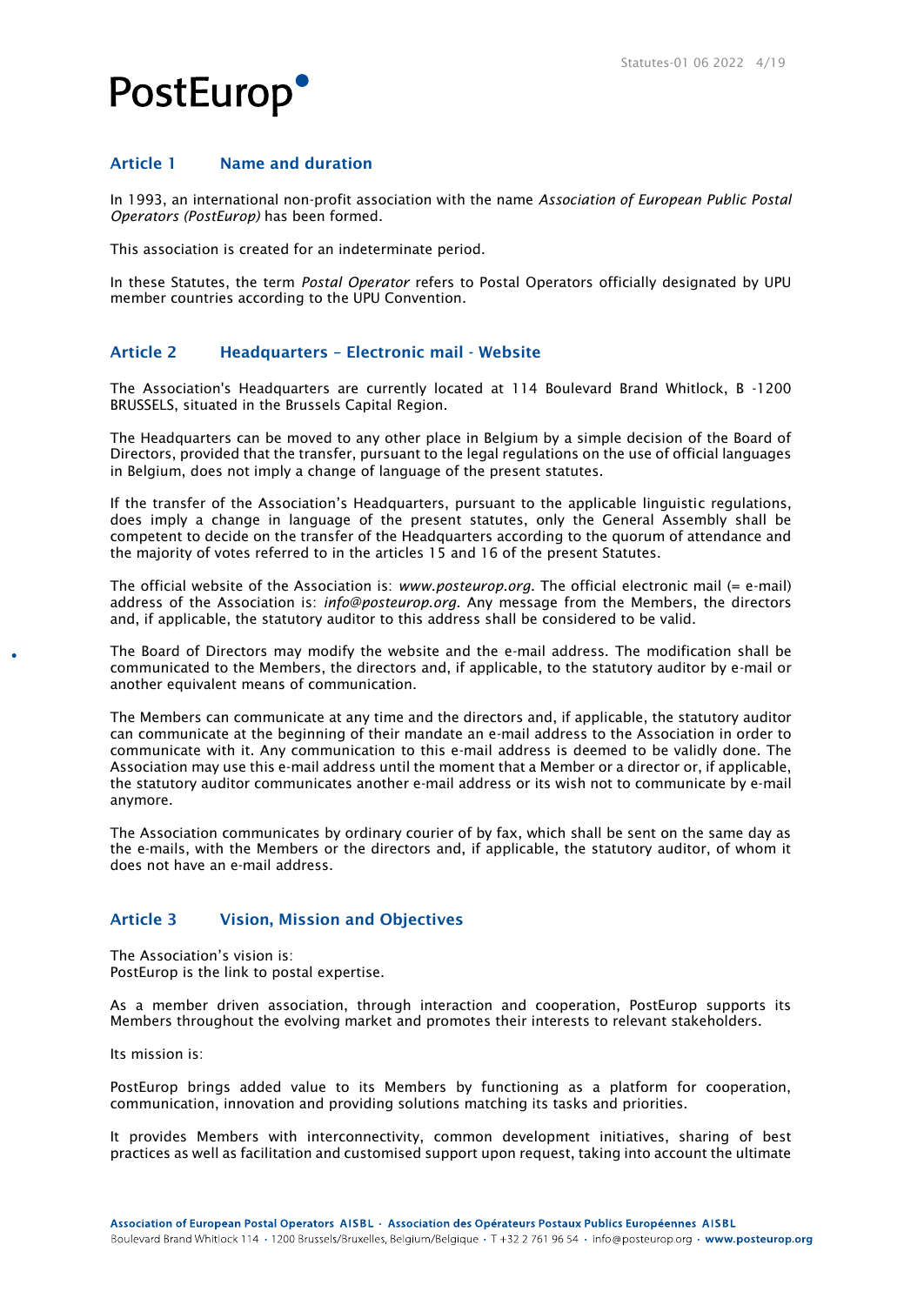### Article 1 Name and duration

In 1993, an international non-profit association with the name *Association of European Public Postal Operators (PostEurop)* has been formed.

This association is created for an indeterminate period.

In these Statutes, the term *Postal Operator* refers to Postal Operators officially designated by UPU member countries according to the UPU Convention.

### Article 2 Headquarters – Electronic mail - Website

The Association's Headquarters are currently located at 114 Boulevard Brand Whitlock, B -1200 BRUSSELS, situated in the Brussels Capital Region.

The Headquarters can be moved to any other place in Belgium by a simple decision of the Board of Directors, provided that the transfer, pursuant to the legal regulations on the use of official languages in Belgium, does not imply a change of language of the present statutes.

If the transfer of the Association's Headquarters, pursuant to the applicable linguistic regulations, does imply a change in language of the present statutes, only the General Assembly shall be competent to decide on the transfer of the Headquarters according to the quorum of attendance and the majority of votes referred to in the articles 15 and 16 of the present Statutes.

The official website of the Association is: *www.posteurop.org.* The official electronic mail (= e-mail) address of the Association is: *info@posteurop.org.* Any message from the Members, the directors and, if applicable, the statutory auditor to this address shall be considered to be valid.

The Board of Directors may modify the website and the e-mail address. The modification shall be communicated to the Members, the directors and, if applicable, to the statutory auditor by e-mail or another equivalent means of communication.

The Members can communicate at any time and the directors and, if applicable, the statutory auditor can communicate at the beginning of their mandate an e-mail address to the Association in order to communicate with it. Any communication to this e-mail address is deemed to be validly done. The Association may use this e-mail address until the moment that a Member or a director or, if applicable, the statutory auditor communicates another e-mail address or its wish not to communicate by e-mail anymore.

The Association communicates by ordinary courier of by fax, which shall be sent on the same day as the e-mails, with the Members or the directors and, if applicable, the statutory auditor, of whom it does not have an e-mail address.

### Article 3 Vision, Mission and Objectives

The Association's vision is: PostEurop is the link to postal expertise.

As a member driven association, through interaction and cooperation, PostEurop supports its Members throughout the evolving market and promotes their interests to relevant stakeholders.

Its mission is:

PostEurop brings added value to its Members by functioning as a platform for cooperation, communication, innovation and providing solutions matching its tasks and priorities.

It provides Members with interconnectivity, common development initiatives, sharing of best practices as well as facilitation and customised support upon request, taking into account the ultimate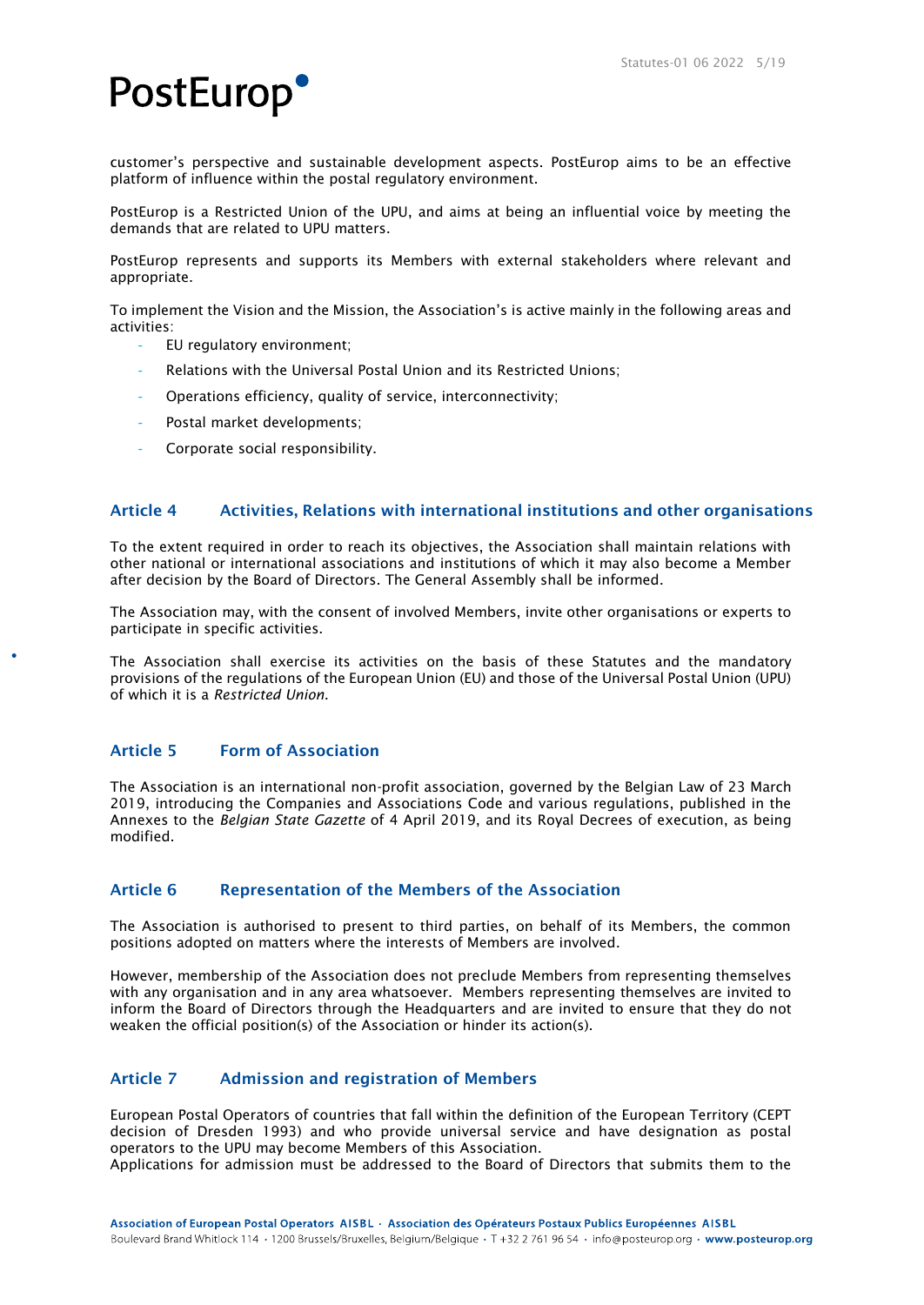customer's perspective and sustainable development aspects. PostEurop aims to be an effective platform of influence within the postal regulatory environment.

PostEurop is a Restricted Union of the UPU, and aims at being an influential voice by meeting the demands that are related to UPU matters.

PostEurop represents and supports its Members with external stakeholders where relevant and appropriate.

To implement the Vision and the Mission, the Association's is active mainly in the following areas and activities:

- EU regulatory environment;
- Relations with the Universal Postal Union and its Restricted Unions;
- Operations efficiency, quality of service, interconnectivity;
- Postal market developments;
- Corporate social responsibility.

### Article 4 Activities, Relations with international institutions and other organisations

To the extent required in order to reach its objectives, the Association shall maintain relations with other national or international associations and institutions of which it may also become a Member after decision by the Board of Directors. The General Assembly shall be informed.

The Association may, with the consent of involved Members, invite other organisations or experts to participate in specific activities.

The Association shall exercise its activities on the basis of these Statutes and the mandatory provisions of the regulations of the European Union (EU) and those of the Universal Postal Union (UPU) of which it is a *Restricted Union*.

### Article 5 Form of Association

The Association is an international non-profit association, governed by the Belgian Law of 23 March 2019, introducing the Companies and Associations Code and various regulations, published in the Annexes to the *Belgian State Gazette* of 4 April 2019, and its Royal Decrees of execution, as being modified.

### Article 6 Representation of the Members of the Association

The Association is authorised to present to third parties, on behalf of its Members, the common positions adopted on matters where the interests of Members are involved.

However, membership of the Association does not preclude Members from representing themselves with any organisation and in any area whatsoever. Members representing themselves are invited to inform the Board of Directors through the Headquarters and are invited to ensure that they do not weaken the official position(s) of the Association or hinder its action(s).

### Article 7 Admission and registration of Members

European Postal Operators of countries that fall within the definition of the European Territory (CEPT decision of Dresden 1993) and who provide universal service and have designation as postal operators to the UPU may become Members of this Association.

Applications for admission must be addressed to the Board of Directors that submits them to the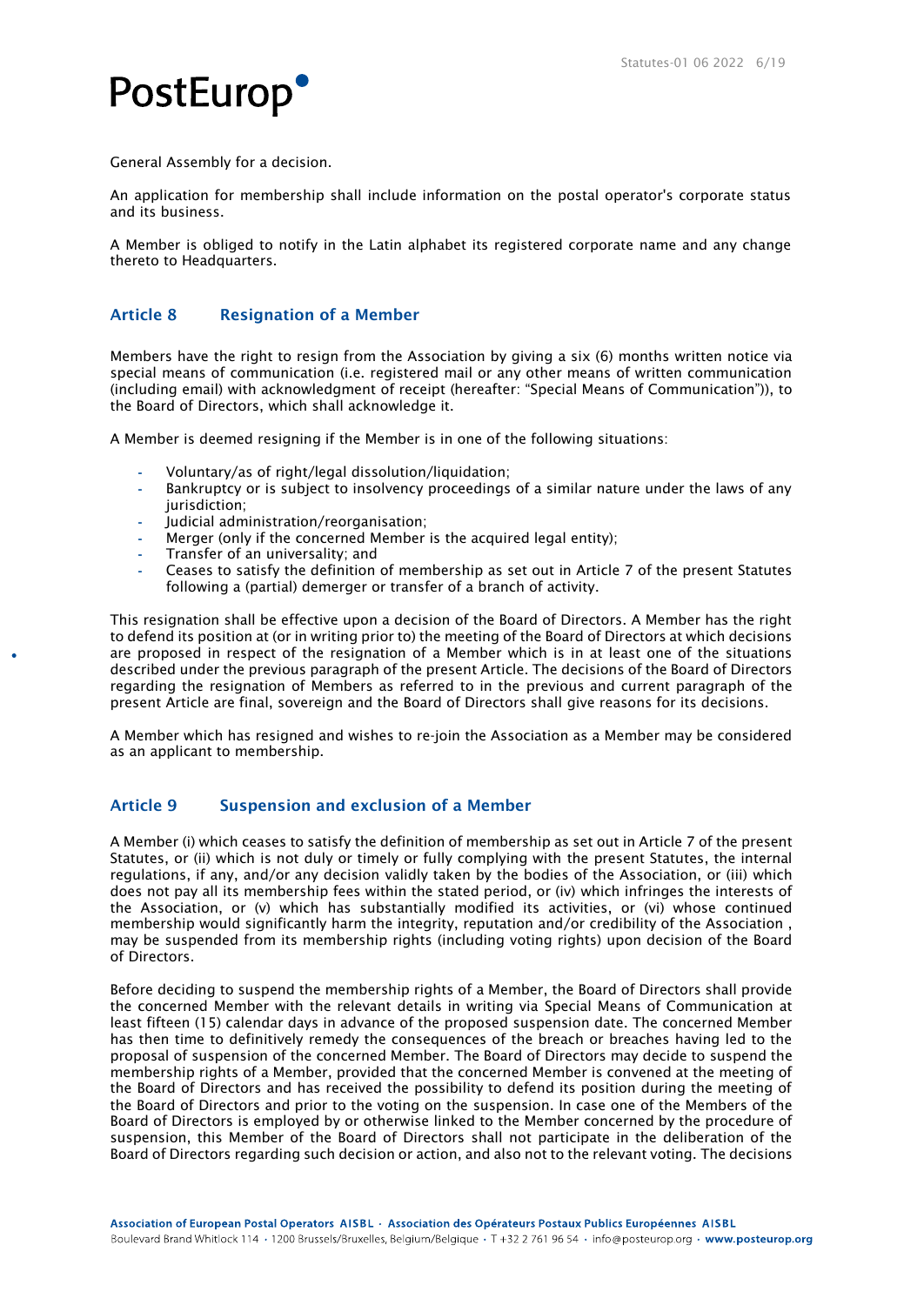

General Assembly for a decision.

An application for membership shall include information on the postal operator's corporate status and its business.

A Member is obliged to notify in the Latin alphabet its registered corporate name and any change thereto to Headquarters.

### Article 8 Resignation of a Member

Members have the right to resign from the Association by giving a six (6) months written notice via special means of communication (i.e. registered mail or any other means of written communication (including email) with acknowledgment of receipt (hereafter: "Special Means of Communication")), to the Board of Directors, which shall acknowledge it.

A Member is deemed resigning if the Member is in one of the following situations:

- **-** Voluntary/as of right/legal dissolution/liquidation;
- **-** Bankruptcy or is subject to insolvency proceedings of a similar nature under the laws of any jurisdiction:
- **-** Judicial administration/reorganisation;
- **-** Merger (only if the concerned Member is the acquired legal entity);
- **-** Transfer of an universality; and
- **-** Ceases to satisfy the definition of membership as set out in Article 7 of the present Statutes following a (partial) demerger or transfer of a branch of activity.

This resignation shall be effective upon a decision of the Board of Directors. A Member has the right to defend its position at (or in writing prior to) the meeting of the Board of Directors at which decisions are proposed in respect of the resignation of a Member which is in at least one of the situations described under the previous paragraph of the present Article. The decisions of the Board of Directors regarding the resignation of Members as referred to in the previous and current paragraph of the present Article are final, sovereign and the Board of Directors shall give reasons for its decisions.

A Member which has resigned and wishes to re-join the Association as a Member may be considered as an applicant to membership.

### Article 9 Suspension and exclusion of a Member

A Member (i) which ceases to satisfy the definition of membership as set out in Article 7 of the present Statutes, or (ii) which is not duly or timely or fully complying with the present Statutes, the internal regulations, if any, and/or any decision validly taken by the bodies of the Association, or (iii) which does not pay all its membership fees within the stated period, or (iv) which infringes the interests of the Association, or (v) which has substantially modified its activities, or (vi) whose continued membership would significantly harm the integrity, reputation and/or credibility of the Association , may be suspended from its membership rights (including voting rights) upon decision of the Board of Directors.

Before deciding to suspend the membership rights of a Member, the Board of Directors shall provide the concerned Member with the relevant details in writing via Special Means of Communication at least fifteen (15) calendar days in advance of the proposed suspension date. The concerned Member has then time to definitively remedy the consequences of the breach or breaches having led to the proposal of suspension of the concerned Member. The Board of Directors may decide to suspend the membership rights of a Member, provided that the concerned Member is convened at the meeting of the Board of Directors and has received the possibility to defend its position during the meeting of the Board of Directors and prior to the voting on the suspension. In case one of the Members of the Board of Directors is employed by or otherwise linked to the Member concerned by the procedure of suspension, this Member of the Board of Directors shall not participate in the deliberation of the Board of Directors regarding such decision or action, and also not to the relevant voting. The decisions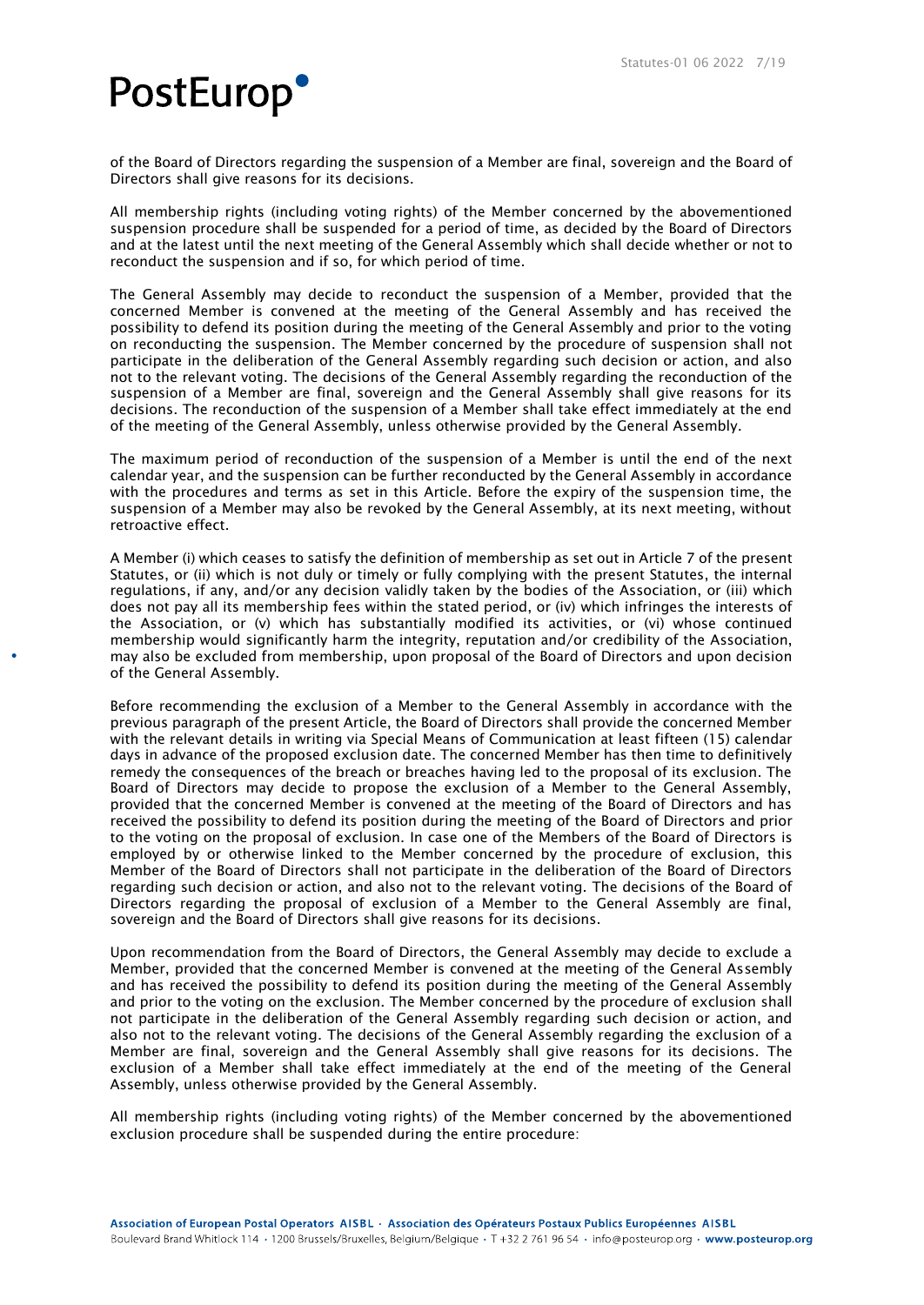of the Board of Directors regarding the suspension of a Member are final, sovereign and the Board of Directors shall give reasons for its decisions.

All membership rights (including voting rights) of the Member concerned by the abovementioned suspension procedure shall be suspended for a period of time, as decided by the Board of Directors and at the latest until the next meeting of the General Assembly which shall decide whether or not to reconduct the suspension and if so, for which period of time.

The General Assembly may decide to reconduct the suspension of a Member, provided that the concerned Member is convened at the meeting of the General Assembly and has received the possibility to defend its position during the meeting of the General Assembly and prior to the voting on reconducting the suspension. The Member concerned by the procedure of suspension shall not participate in the deliberation of the General Assembly regarding such decision or action, and also not to the relevant voting. The decisions of the General Assembly regarding the reconduction of the suspension of a Member are final, sovereign and the General Assembly shall give reasons for its decisions. The reconduction of the suspension of a Member shall take effect immediately at the end of the meeting of the General Assembly, unless otherwise provided by the General Assembly.

The maximum period of reconduction of the suspension of a Member is until the end of the next calendar year, and the suspension can be further reconducted by the General Assembly in accordance with the procedures and terms as set in this Article. Before the expiry of the suspension time, the suspension of a Member may also be revoked by the General Assembly, at its next meeting, without retroactive effect.

A Member (i) which ceases to satisfy the definition of membership as set out in Article 7 of the present Statutes, or (ii) which is not duly or timely or fully complying with the present Statutes, the internal regulations, if any, and/or any decision validly taken by the bodies of the Association, or (iii) which does not pay all its membership fees within the stated period, or (iv) which infringes the interests of the Association, or (v) which has substantially modified its activities, or (vi) whose continued membership would significantly harm the integrity, reputation and/or credibility of the Association, may also be excluded from membership, upon proposal of the Board of Directors and upon decision of the General Assembly.

Before recommending the exclusion of a Member to the General Assembly in accordance with the previous paragraph of the present Article, the Board of Directors shall provide the concerned Member with the relevant details in writing via Special Means of Communication at least fifteen (15) calendar days in advance of the proposed exclusion date. The concerned Member has then time to definitively remedy the consequences of the breach or breaches having led to the proposal of its exclusion. The Board of Directors may decide to propose the exclusion of a Member to the General Assembly, provided that the concerned Member is convened at the meeting of the Board of Directors and has received the possibility to defend its position during the meeting of the Board of Directors and prior to the voting on the proposal of exclusion. In case one of the Members of the Board of Directors is employed by or otherwise linked to the Member concerned by the procedure of exclusion, this Member of the Board of Directors shall not participate in the deliberation of the Board of Directors regarding such decision or action, and also not to the relevant voting. The decisions of the Board of Directors regarding the proposal of exclusion of a Member to the General Assembly are final, sovereign and the Board of Directors shall give reasons for its decisions.

Upon recommendation from the Board of Directors, the General Assembly may decide to exclude a Member, provided that the concerned Member is convened at the meeting of the General Assembly and has received the possibility to defend its position during the meeting of the General Assembly and prior to the voting on the exclusion. The Member concerned by the procedure of exclusion shall not participate in the deliberation of the General Assembly regarding such decision or action, and also not to the relevant voting. The decisions of the General Assembly regarding the exclusion of a Member are final, sovereign and the General Assembly shall give reasons for its decisions. The exclusion of a Member shall take effect immediately at the end of the meeting of the General Assembly, unless otherwise provided by the General Assembly.

All membership rights (including voting rights) of the Member concerned by the abovementioned exclusion procedure shall be suspended during the entire procedure: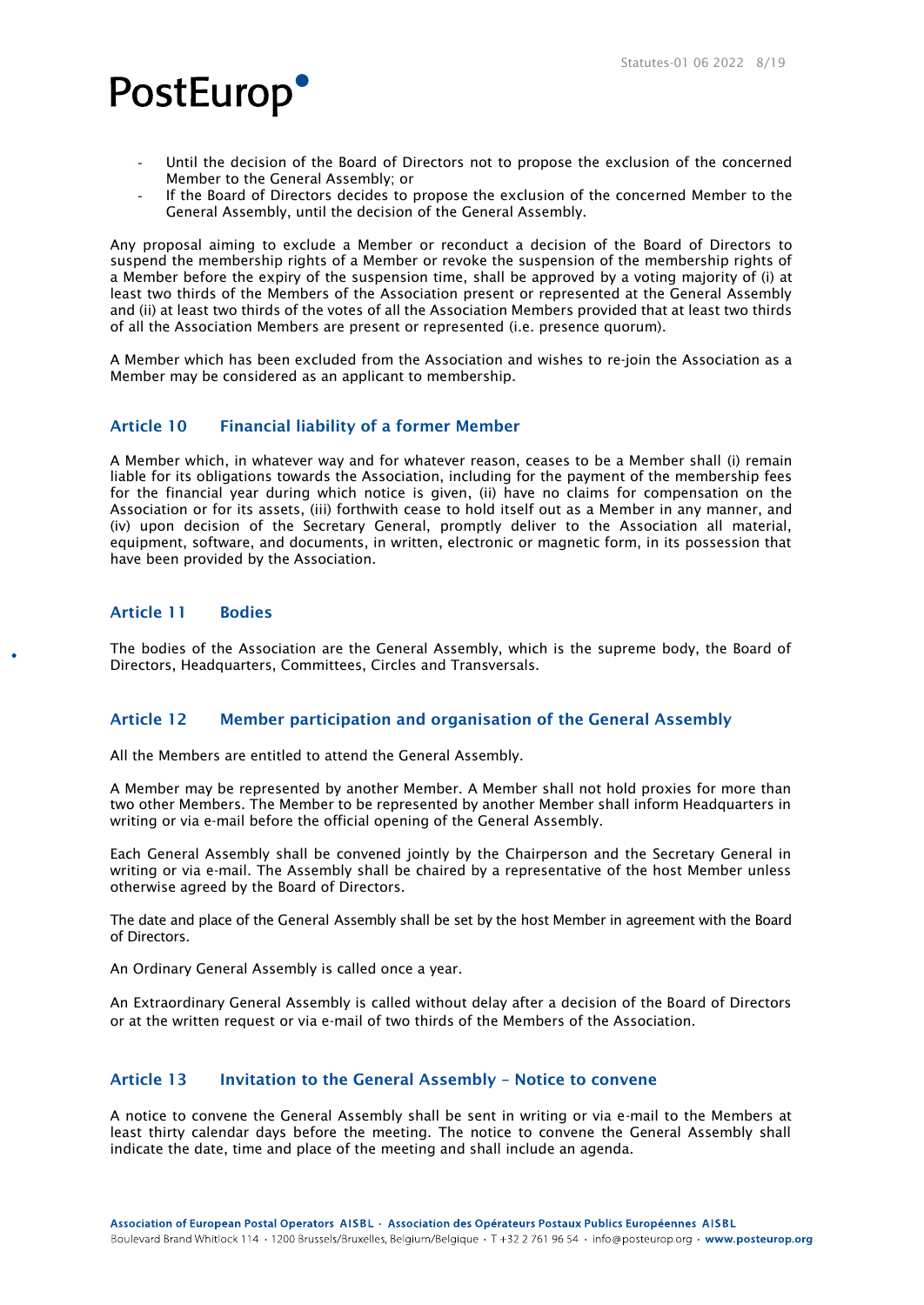- **-** Until the decision of the Board of Directors not to propose the exclusion of the concerned Member to the General Assembly; or
- **-** If the Board of Directors decides to propose the exclusion of the concerned Member to the General Assembly, until the decision of the General Assembly.

Any proposal aiming to exclude a Member or reconduct a decision of the Board of Directors to suspend the membership rights of a Member or revoke the suspension of the membership rights of a Member before the expiry of the suspension time, shall be approved by a voting majority of (i) at least two thirds of the Members of the Association present or represented at the General Assembly and (ii) at least two thirds of the votes of all the Association Members provided that at least two thirds of all the Association Members are present or represented (i.e. presence quorum).

A Member which has been excluded from the Association and wishes to re-join the Association as a Member may be considered as an applicant to membership.

### Article 10 Financial liability of a former Member

A Member which, in whatever way and for whatever reason, ceases to be a Member shall (i) remain liable for its obligations towards the Association, including for the payment of the membership fees for the financial year during which notice is given, (ii) have no claims for compensation on the Association or for its assets, (iii) forthwith cease to hold itself out as a Member in any manner, and (iv) upon decision of the Secretary General, promptly deliver to the Association all material, equipment, software, and documents, in written, electronic or magnetic form, in its possession that have been provided by the Association.

### Article 11 Bodies

The bodies of the Association are the General Assembly, which is the supreme body, the Board of Directors, Headquarters, Committees, Circles and Transversals.

### Article 12 Member participation and organisation of the General Assembly

All the Members are entitled to attend the General Assembly.

A Member may be represented by another Member. A Member shall not hold proxies for more than two other Members. The Member to be represented by another Member shall inform Headquarters in writing or via e-mail before the official opening of the General Assembly.

Each General Assembly shall be convened jointly by the Chairperson and the Secretary General in writing or via e-mail. The Assembly shall be chaired by a representative of the host Member unless otherwise agreed by the Board of Directors.

The date and place of the General Assembly shall be set by the host Member in agreement with the Board of Directors.

An Ordinary General Assembly is called once a year.

An Extraordinary General Assembly is called without delay after a decision of the Board of Directors or at the written request or via e-mail of two thirds of the Members of the Association.

### Article 13 Invitation to the General Assembly - Notice to convene

A notice to convene the General Assembly shall be sent in writing or via e-mail to the Members at least thirty calendar days before the meeting. The notice to convene the General Assembly shall indicate the date, time and place of the meeting and shall include an agenda.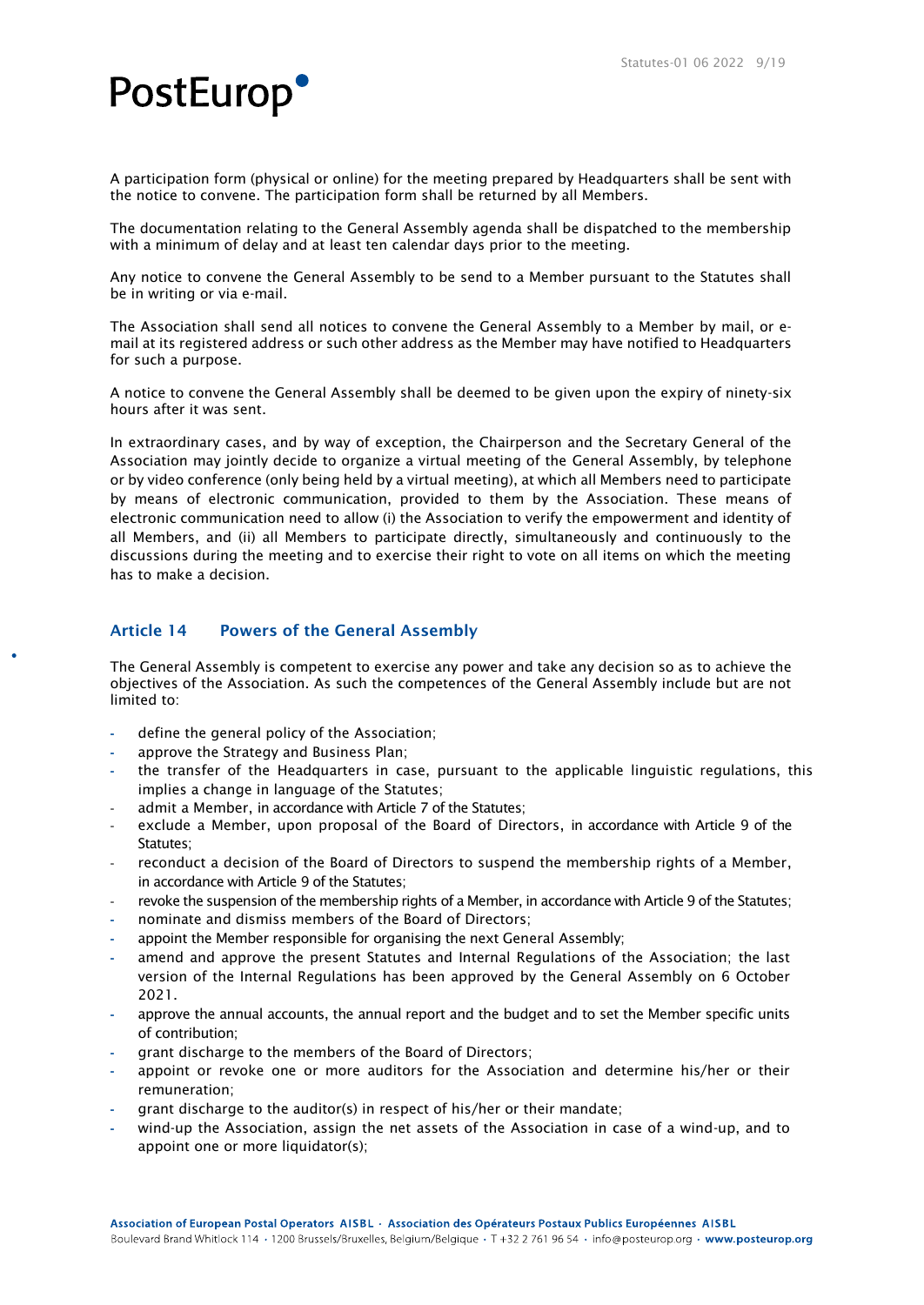A participation form (physical or online) for the meeting prepared by Headquarters shall be sent with the notice to convene. The participation form shall be returned by all Members.

The documentation relating to the General Assembly agenda shall be dispatched to the membership with a minimum of delay and at least ten calendar days prior to the meeting.

Any notice to convene the General Assembly to be send to a Member pursuant to the Statutes shall be in writing or via e-mail.

The Association shall send all notices to convene the General Assembly to a Member by mail, or email at its registered address or such other address as the Member may have notified to Headquarters for such a purpose.

A notice to convene the General Assembly shall be deemed to be given upon the expiry of ninety-six hours after it was sent.

In extraordinary cases, and by way of exception, the Chairperson and the Secretary General of the Association may jointly decide to organize a virtual meeting of the General Assembly, by telephone or by video conference (only being held by a virtual meeting), at which all Members need to participate by means of electronic communication, provided to them by the Association. These means of electronic communication need to allow (i) the Association to verify the empowerment and identity of all Members, and (ii) all Members to participate directly, simultaneously and continuously to the discussions during the meeting and to exercise their right to vote on all items on which the meeting has to make a decision.

### Article 14 Powers of the General Assembly

The General Assembly is competent to exercise any power and take any decision so as to achieve the objectives of the Association. As such the competences of the General Assembly include but are not limited to:

- **-** define the general policy of the Association;
- **-** approve the Strategy and Business Plan;
- **-** the transfer of the Headquarters in case, pursuant to the applicable linguistic regulations, this implies a change in language of the Statutes;
- admit a Member, in accordance with Article 7 of the Statutes;
- exclude a Member, upon proposal of the Board of Directors, in accordance with Article 9 of the Statutes;
- reconduct a decision of the Board of Directors to suspend the membership rights of a Member, in accordance with Article 9 of the Statutes;
- revoke the suspension of the membership rights of a Member, in accordance with Article 9 of the Statutes;
- **-** nominate and dismiss members of the Board of Directors;
- **-** appoint the Member responsible for organising the next General Assembly;
- **-** amend and approve the present Statutes and Internal Regulations of the Association; the last version of the Internal Regulations has been approved by the General Assembly on 6 October 2021.
- **-** approve the annual accounts, the annual report and the budget and to set the Member specific units of contribution;
- **-** grant discharge to the members of the Board of Directors;
- **-** appoint or revoke one or more auditors for the Association and determine his/her or their remuneration;
- **-** grant discharge to the auditor(s) in respect of his/her or their mandate;
- **-** wind-up the Association, assign the net assets of the Association in case of a wind-up, and to appoint one or more liquidator(s);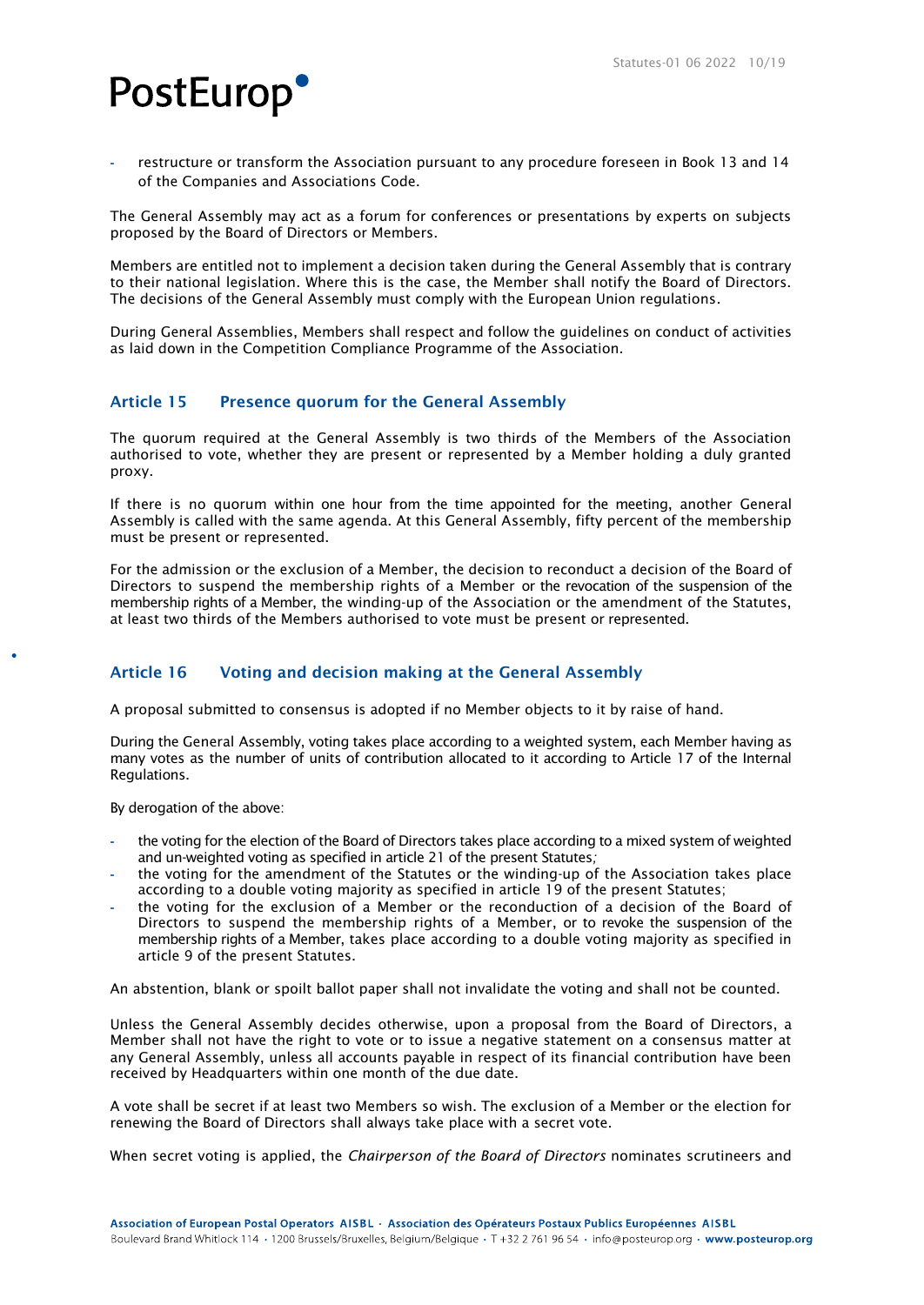**-** restructure or transform the Association pursuant to any procedure foreseen in Book 13 and 14 of the Companies and Associations Code.

The General Assembly may act as a forum for conferences or presentations by experts on subjects proposed by the Board of Directors or Members.

Members are entitled not to implement a decision taken during the General Assembly that is contrary to their national legislation. Where this is the case, the Member shall notify the Board of Directors. The decisions of the General Assembly must comply with the European Union regulations.

During General Assemblies, Members shall respect and follow the guidelines on conduct of activities as laid down in the Competition Compliance Programme of the Association.

### Article 15 Presence quorum for the General Assembly

The quorum required at the General Assembly is two thirds of the Members of the Association authorised to vote, whether they are present or represented by a Member holding a duly granted proxy.

If there is no quorum within one hour from the time appointed for the meeting, another General Assembly is called with the same agenda. At this General Assembly, fifty percent of the membership must be present or represented.

For the admission or the exclusion of a Member, the decision to reconduct a decision of the Board of Directors to suspend the membership rights of a Member or the revocation of the suspension of the membership rights of a Member, the winding-up of the Association or the amendment of the Statutes, at least two thirds of the Members authorised to vote must be present or represented.

### Article 16 Voting and decision making at the General Assembly

A proposal submitted to consensus is adopted if no Member objects to it by raise of hand.

During the General Assembly, voting takes place according to a weighted system, each Member having as many votes as the number of units of contribution allocated to it according to Article 17 of the Internal Regulations.

By derogation of the above:

- **-** the voting for the election of the Board of Directors takes place according to a mixed system of weighted and un-weighted voting as specified in article 21 of the present Statutes*;*
- **-** the voting for the amendment of the Statutes or the winding-up of the Association takes place according to a double voting majority as specified in article 19 of the present Statutes;
- **-** the voting for the exclusion of a Member or the reconduction of a decision of the Board of Directors to suspend the membership rights of a Member, or to revoke the suspension of the membership rights of a Member, takes place according to a double voting majority as specified in article 9 of the present Statutes.

An abstention, blank or spoilt ballot paper shall not invalidate the voting and shall not be counted.

Unless the General Assembly decides otherwise, upon a proposal from the Board of Directors, a Member shall not have the right to vote or to issue a negative statement on a consensus matter at any General Assembly, unless all accounts payable in respect of its financial contribution have been received by Headquarters within one month of the due date.

A vote shall be secret if at least two Members so wish. The exclusion of a Member or the election for renewing the Board of Directors shall always take place with a secret vote.

When secret voting is applied, the *Chairperson of the Board of Directors* nominates scrutineers and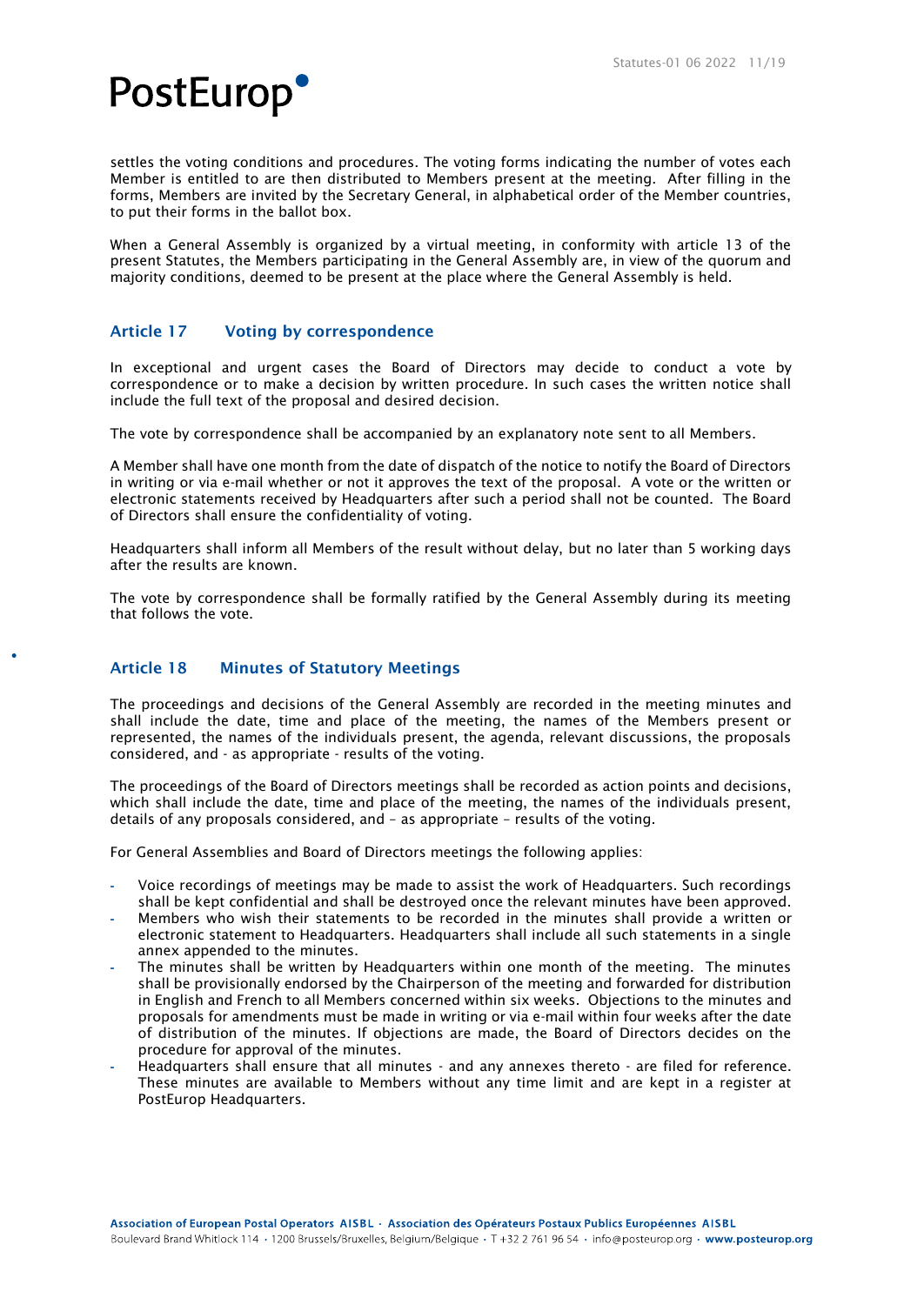

settles the voting conditions and procedures. The voting forms indicating the number of votes each Member is entitled to are then distributed to Members present at the meeting. After filling in the forms, Members are invited by the Secretary General, in alphabetical order of the Member countries, to put their forms in the ballot box.

When a General Assembly is organized by a virtual meeting, in conformity with article 13 of the present Statutes, the Members participating in the General Assembly are, in view of the quorum and majority conditions, deemed to be present at the place where the General Assembly is held.

### Article 17 Voting by correspondence

In exceptional and urgent cases the Board of Directors may decide to conduct a vote by correspondence or to make a decision by written procedure. In such cases the written notice shall include the full text of the proposal and desired decision.

The vote by correspondence shall be accompanied by an explanatory note sent to all Members.

A Member shall have one month from the date of dispatch of the notice to notify the Board of Directors in writing or via e-mail whether or not it approves the text of the proposal. A vote or the written or electronic statements received by Headquarters after such a period shall not be counted. The Board of Directors shall ensure the confidentiality of voting.

Headquarters shall inform all Members of the result without delay, but no later than 5 working days after the results are known.

The vote by correspondence shall be formally ratified by the General Assembly during its meeting that follows the vote.

### Article 18 Minutes of Statutory Meetings

The proceedings and decisions of the General Assembly are recorded in the meeting minutes and shall include the date, time and place of the meeting, the names of the Members present or represented, the names of the individuals present, the agenda, relevant discussions, the proposals considered, and - as appropriate - results of the voting.

The proceedings of the Board of Directors meetings shall be recorded as action points and decisions, which shall include the date, time and place of the meeting, the names of the individuals present, details of any proposals considered, and – as appropriate – results of the voting.

For General Assemblies and Board of Directors meetings the following applies:

- **-** Voice recordings of meetings may be made to assist the work of Headquarters. Such recordings shall be kept confidential and shall be destroyed once the relevant minutes have been approved.
- **-** Members who wish their statements to be recorded in the minutes shall provide a written or electronic statement to Headquarters. Headquarters shall include all such statements in a single annex appended to the minutes.
- **-** The minutes shall be written by Headquarters within one month of the meeting. The minutes shall be provisionally endorsed by the Chairperson of the meeting and forwarded for distribution in English and French to all Members concerned within six weeks. Objections to the minutes and proposals for amendments must be made in writing or via e-mail within four weeks after the date of distribution of the minutes. If objections are made, the Board of Directors decides on the procedure for approval of the minutes.
- **-** Headquarters shall ensure that all minutes and any annexes thereto are filed for reference. These minutes are available to Members without any time limit and are kept in a register at PostEurop Headquarters.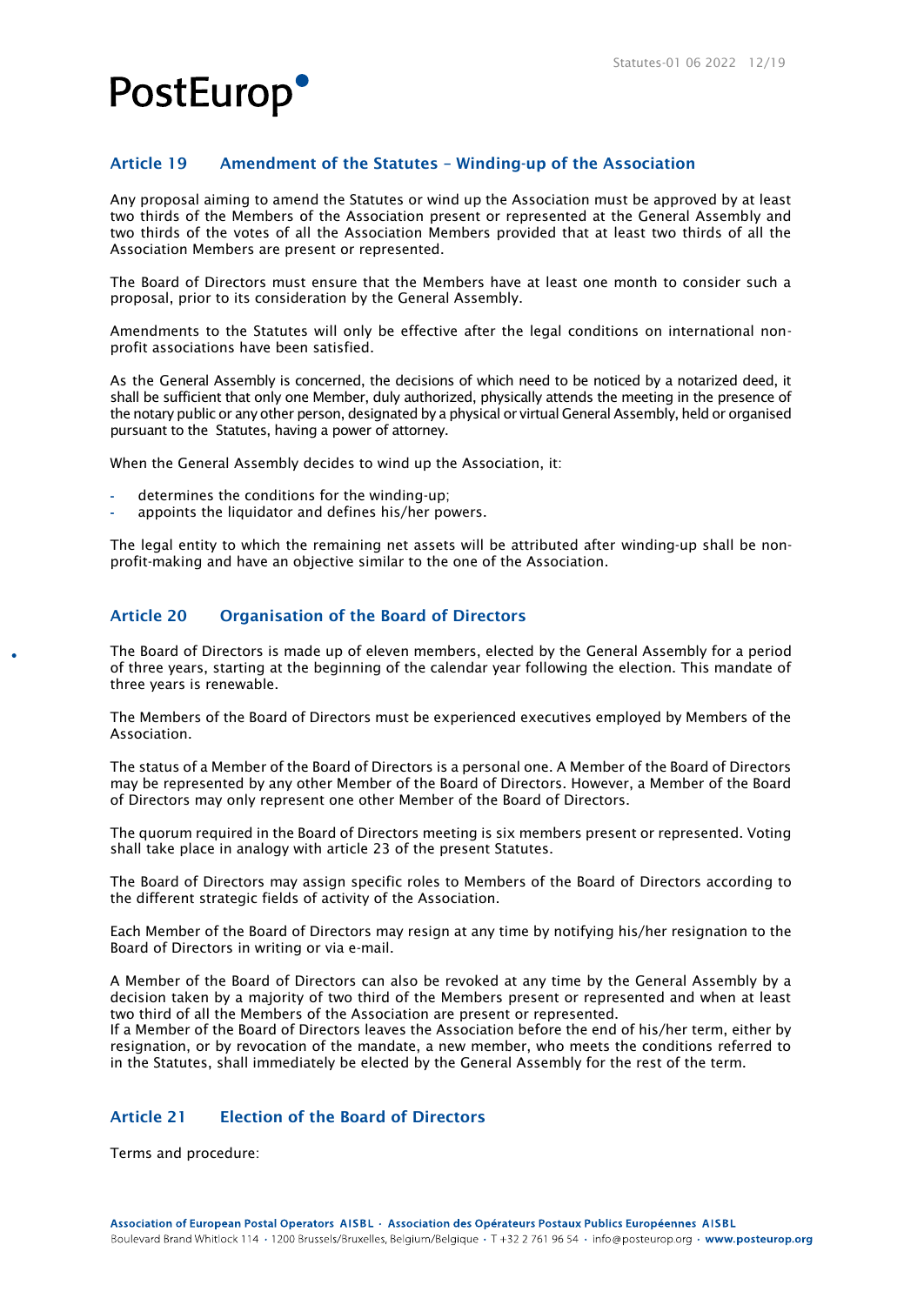### Article 19 Amendment of the Statutes – Winding-up of the Association

Any proposal aiming to amend the Statutes or wind up the Association must be approved by at least two thirds of the Members of the Association present or represented at the General Assembly and two thirds of the votes of all the Association Members provided that at least two thirds of all the Association Members are present or represented.

The Board of Directors must ensure that the Members have at least one month to consider such a proposal, prior to its consideration by the General Assembly.

Amendments to the Statutes will only be effective after the legal conditions on international nonprofit associations have been satisfied.

As the General Assembly is concerned, the decisions of which need to be noticed by a notarized deed, it shall be sufficient that only one Member, duly authorized, physically attends the meeting in the presence of the notary public or any other person, designated by a physical or virtual General Assembly, held or organised pursuant to the Statutes, having a power of attorney.

When the General Assembly decides to wind up the Association, it:

- **-** determines the conditions for the winding-up;
- **-** appoints the liquidator and defines his/her powers.

The legal entity to which the remaining net assets will be attributed after winding-up shall be nonprofit-making and have an objective similar to the one of the Association.

### Article 20 Organisation of the Board of Directors

The Board of Directors is made up of eleven members, elected by the General Assembly for a period of three years, starting at the beginning of the calendar year following the election. This mandate of three years is renewable.

The Members of the Board of Directors must be experienced executives employed by Members of the Association.

The status of a Member of the Board of Directors is a personal one. A Member of the Board of Directors may be represented by any other Member of the Board of Directors. However, a Member of the Board of Directors may only represent one other Member of the Board of Directors.

The quorum required in the Board of Directors meeting is six members present or represented. Voting shall take place in analogy with article 23 of the present Statutes.

The Board of Directors may assign specific roles to Members of the Board of Directors according to the different strategic fields of activity of the Association.

Each Member of the Board of Directors may resign at any time by notifying his/her resignation to the Board of Directors in writing or via e-mail.

A Member of the Board of Directors can also be revoked at any time by the General Assembly by a decision taken by a majority of two third of the Members present or represented and when at least two third of all the Members of the Association are present or represented.

If a Member of the Board of Directors leaves the Association before the end of his/her term, either by resignation, or by revocation of the mandate, a new member, who meets the conditions referred to in the Statutes, shall immediately be elected by the General Assembly for the rest of the term.

### Article 21 Election of the Board of Directors

Terms and procedure: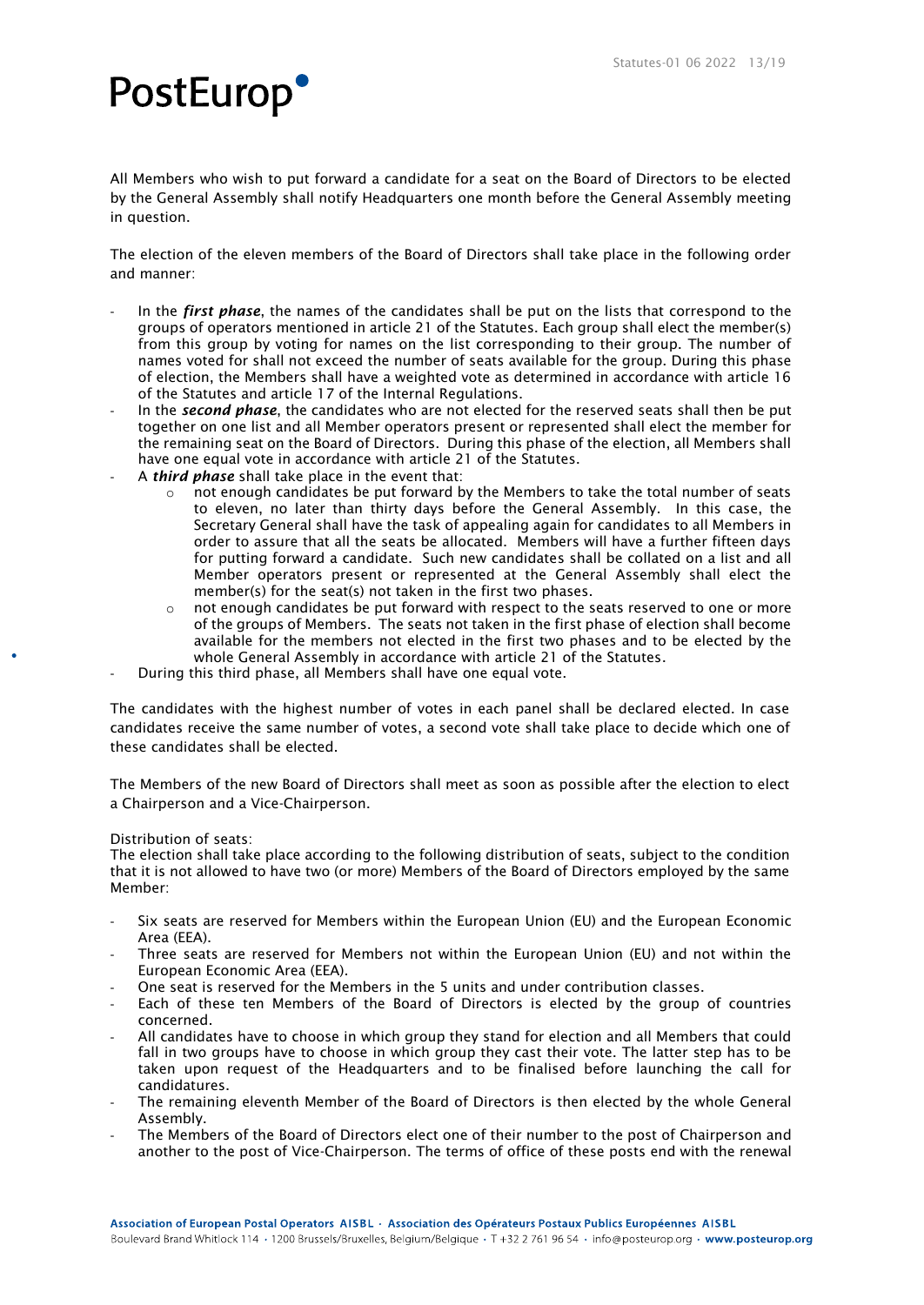All Members who wish to put forward a candidate for a seat on the Board of Directors to be elected by the General Assembly shall notify Headquarters one month before the General Assembly meeting in question.

The election of the eleven members of the Board of Directors shall take place in the following order and manner:

- In the *first phase*, the names of the candidates shall be put on the lists that correspond to the groups of operators mentioned in article 21 of the Statutes. Each group shall elect the member(s) from this group by voting for names on the list corresponding to their group. The number of names voted for shall not exceed the number of seats available for the group. During this phase of election, the Members shall have a weighted vote as determined in accordance with article 16 of the Statutes and article 17 of the Internal Regulations.
- In the *second phase*, the candidates who are not elected for the reserved seats shall then be put together on one list and all Member operators present or represented shall elect the member for the remaining seat on the Board of Directors. During this phase of the election, all Members shall have one equal vote in accordance with article 21 of the Statutes.
- A *third phase* shall take place in the event that:
	- not enough candidates be put forward by the Members to take the total number of seats to eleven, no later than thirty days before the General Assembly. In this case, the Secretary General shall have the task of appealing again for candidates to all Members in order to assure that all the seats be allocated. Members will have a further fifteen days for putting forward a candidate. Such new candidates shall be collated on a list and all Member operators present or represented at the General Assembly shall elect the member(s) for the seat(s) not taken in the first two phases.
	- $\circ$  not enough candidates be put forward with respect to the seats reserved to one or more of the groups of Members. The seats not taken in the first phase of election shall become available for the members not elected in the first two phases and to be elected by the whole General Assembly in accordance with article 21 of the Statutes.
- During this third phase, all Members shall have one equal vote.

The candidates with the highest number of votes in each panel shall be declared elected. In case candidates receive the same number of votes, a second vote shall take place to decide which one of these candidates shall be elected.

The Members of the new Board of Directors shall meet as soon as possible after the election to elect a Chairperson and a Vice-Chairperson.

#### Distribution of seats:

The election shall take place according to the following distribution of seats, subject to the condition that it is not allowed to have two (or more) Members of the Board of Directors employed by the same Member:

- Six seats are reserved for Members within the European Union (EU) and the European Economic Area (EEA).
- Three seats are reserved for Members not within the European Union (EU) and not within the European Economic Area (EEA).
- One seat is reserved for the Members in the 5 units and under contribution classes.
- Each of these ten Members of the Board of Directors is elected by the group of countries concerned.
- All candidates have to choose in which group they stand for election and all Members that could fall in two groups have to choose in which group they cast their vote. The latter step has to be taken upon request of the Headquarters and to be finalised before launching the call for candidatures.
- The remaining eleventh Member of the Board of Directors is then elected by the whole General Assembly.
- The Members of the Board of Directors elect one of their number to the post of Chairperson and another to the post of Vice-Chairperson. The terms of office of these posts end with the renewal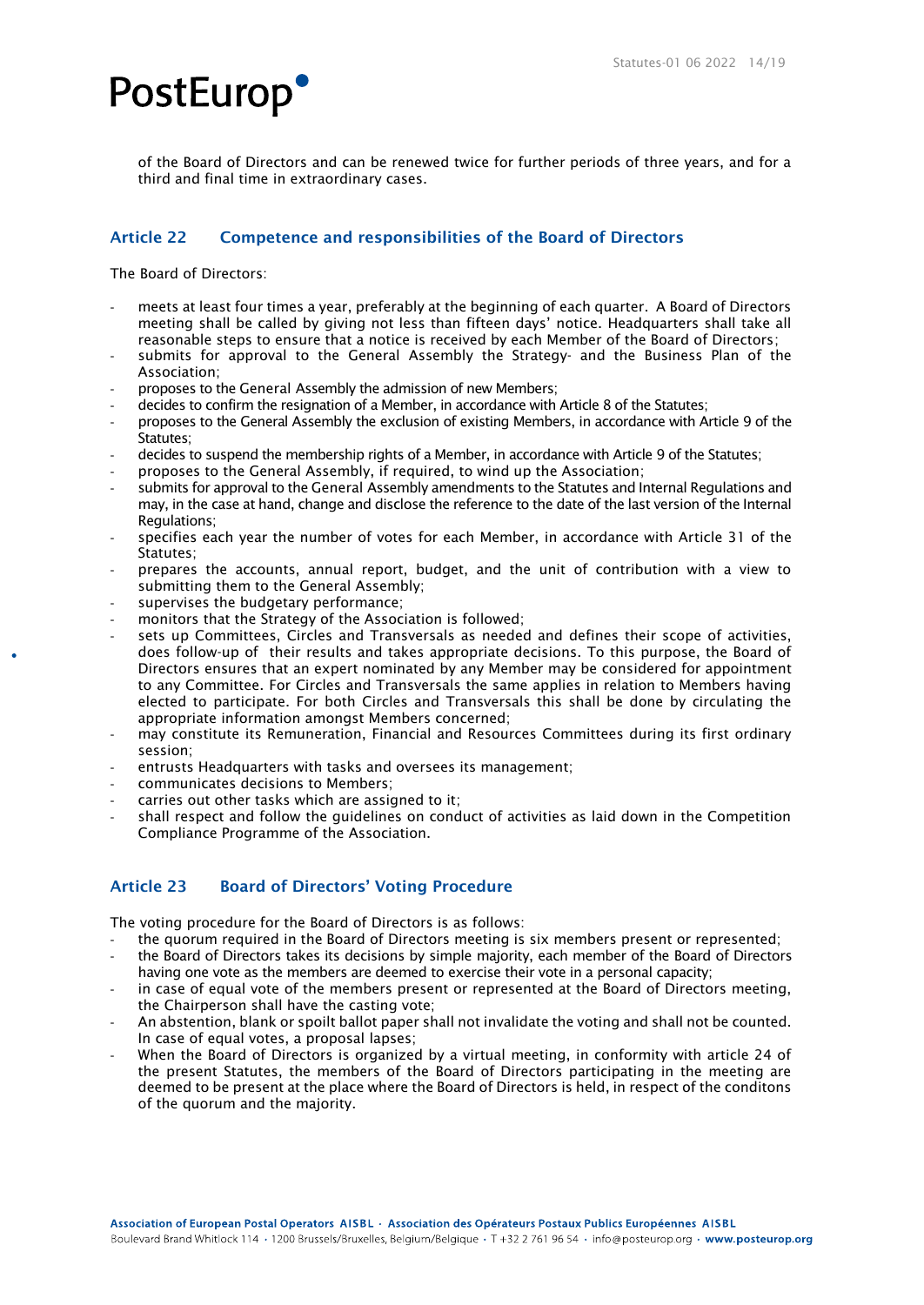

of the Board of Directors and can be renewed twice for further periods of three years, and for a third and final time in extraordinary cases.

### Article 22 Competence and responsibilities of the Board of Directors

The Board of Directors:

- meets at least four times a year, preferably at the beginning of each quarter. A Board of Directors meeting shall be called by giving not less than fifteen days' notice. Headquarters shall take all reasonable steps to ensure that a notice is received by each Member of the Board of Directors;
- submits for approval to the General Assembly the Strategy- and the Business Plan of the Association;
- proposes to the General Assembly the admission of new Members;
- decides to confirm the resignation of a Member, in accordance with Article 8 of the Statutes:
- proposes to the General Assembly the exclusion of existing Members, in accordance with Article 9 of the Statutes;
- decides to suspend the membership rights of a Member, in accordance with Article 9 of the Statutes;
- proposes to the General Assembly, if required, to wind up the Association;
- submits for approval to the General Assembly amendments to the Statutes and Internal Regulations and may, in the case at hand, change and disclose the reference to the date of the last version of the Internal Regulations;
- specifies each year the number of votes for each Member, in accordance with Article 31 of the Statutes;
- prepares the accounts, annual report, budget, and the unit of contribution with a view to submitting them to the General Assembly;
- supervises the budgetary performance;
- monitors that the Strategy of the Association is followed;
- sets up Committees, Circles and Transversals as needed and defines their scope of activities, does follow-up of their results and takes appropriate decisions. To this purpose, the Board of Directors ensures that an expert nominated by any Member may be considered for appointment to any Committee. For Circles and Transversals the same applies in relation to Members having elected to participate. For both Circles and Transversals this shall be done by circulating the appropriate information amongst Members concerned;
- may constitute its Remuneration, Financial and Resources Committees during its first ordinary session;
- entrusts Headquarters with tasks and oversees its management;
- communicates decisions to Members;
- carries out other tasks which are assigned to it;
- shall respect and follow the quidelines on conduct of activities as laid down in the Competition Compliance Programme of the Association.

### Article 23 Board of Directors' Voting Procedure

The voting procedure for the Board of Directors is as follows:

- the quorum required in the Board of Directors meeting is six members present or represented; the Board of Directors takes its decisions by simple majority, each member of the Board of Directors
- having one vote as the members are deemed to exercise their vote in a personal capacity;
- in case of equal vote of the members present or represented at the Board of Directors meeting, the Chairperson shall have the casting vote;
- An abstention, blank or spoilt ballot paper shall not invalidate the voting and shall not be counted. In case of equal votes, a proposal lapses;
- When the Board of Directors is organized by a virtual meeting, in conformity with article 24 of the present Statutes, the members of the Board of Directors participating in the meeting are deemed to be present at the place where the Board of Directors is held, in respect of the conditons of the quorum and the majority.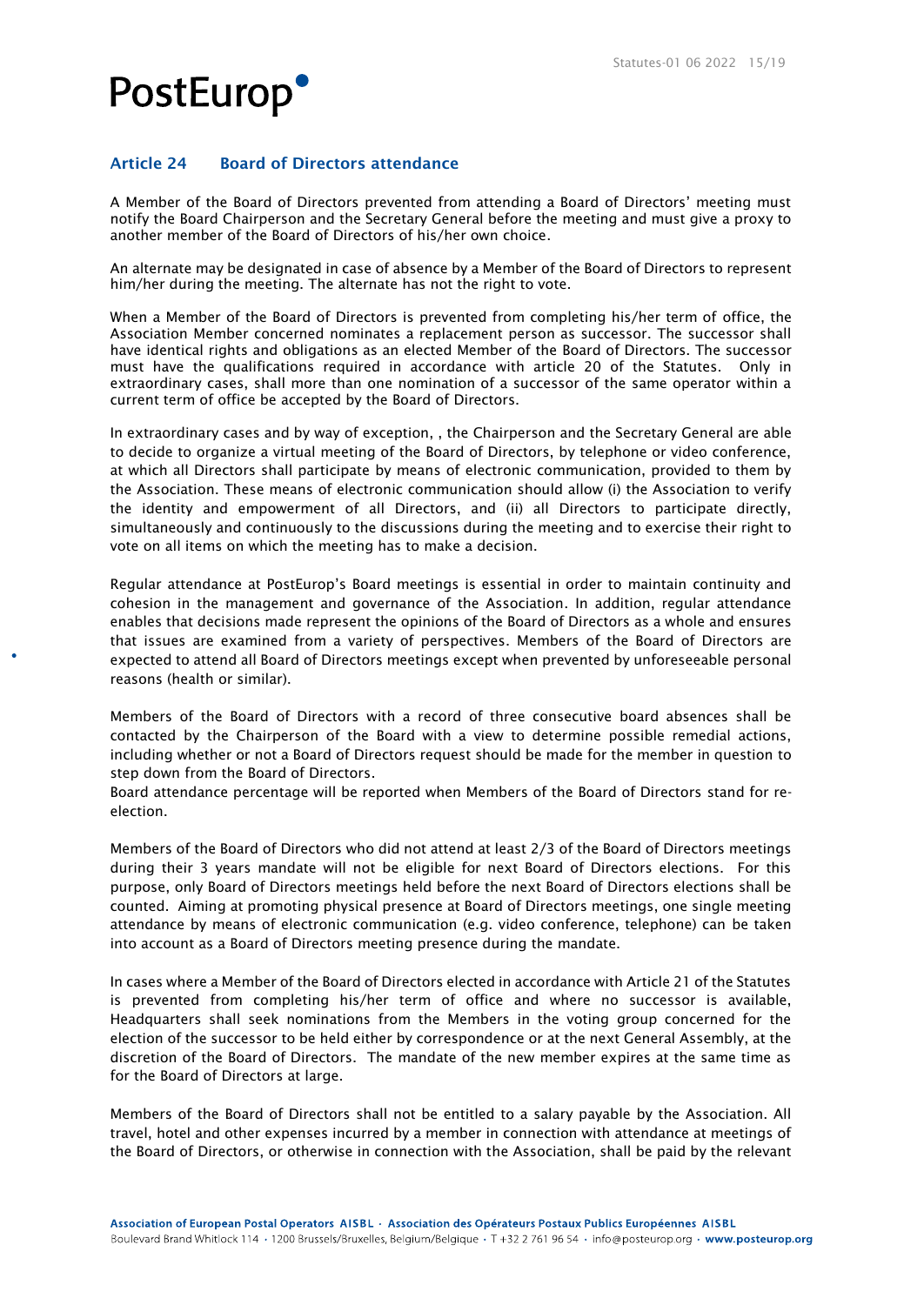### Article 24 Board of Directors attendance

A Member of the Board of Directors prevented from attending a Board of Directors' meeting must notify the Board Chairperson and the Secretary General before the meeting and must give a proxy to another member of the Board of Directors of his/her own choice.

An alternate may be designated in case of absence by a Member of the Board of Directors to represent him/her during the meeting. The alternate has not the right to vote.

When a Member of the Board of Directors is prevented from completing his/her term of office, the Association Member concerned nominates a replacement person as successor. The successor shall have identical rights and obligations as an elected Member of the Board of Directors. The successor must have the qualifications required in accordance with article 20 of the Statutes. Only in extraordinary cases, shall more than one nomination of a successor of the same operator within a current term of office be accepted by the Board of Directors.

In extraordinary cases and by way of exception, , the Chairperson and the Secretary General are able to decide to organize a virtual meeting of the Board of Directors, by telephone or video conference, at which all Directors shall participate by means of electronic communication, provided to them by the Association. These means of electronic communication should allow (i) the Association to verify the identity and empowerment of all Directors, and (ii) all Directors to participate directly, simultaneously and continuously to the discussions during the meeting and to exercise their right to vote on all items on which the meeting has to make a decision.

Regular attendance at PostEurop's Board meetings is essential in order to maintain continuity and cohesion in the management and governance of the Association. In addition, regular attendance enables that decisions made represent the opinions of the Board of Directors as a whole and ensures that issues are examined from a variety of perspectives. Members of the Board of Directors are expected to attend all Board of Directors meetings except when prevented by unforeseeable personal reasons (health or similar).

Members of the Board of Directors with a record of three consecutive board absences shall be contacted by the Chairperson of the Board with a view to determine possible remedial actions, including whether or not a Board of Directors request should be made for the member in question to step down from the Board of Directors.

Board attendance percentage will be reported when Members of the Board of Directors stand for reelection.

Members of the Board of Directors who did not attend at least 2/3 of the Board of Directors meetings during their 3 years mandate will not be eligible for next Board of Directors elections. For this purpose, only Board of Directors meetings held before the next Board of Directors elections shall be counted. Aiming at promoting physical presence at Board of Directors meetings, one single meeting attendance by means of electronic communication (e.g. video conference, telephone) can be taken into account as a Board of Directors meeting presence during the mandate.

In cases where a Member of the Board of Directors elected in accordance with Article 21 of the Statutes is prevented from completing his/her term of office and where no successor is available, Headquarters shall seek nominations from the Members in the voting group concerned for the election of the successor to be held either by correspondence or at the next General Assembly, at the discretion of the Board of Directors. The mandate of the new member expires at the same time as for the Board of Directors at large.

Members of the Board of Directors shall not be entitled to a salary payable by the Association. All travel, hotel and other expenses incurred by a member in connection with attendance at meetings of the Board of Directors, or otherwise in connection with the Association, shall be paid by the relevant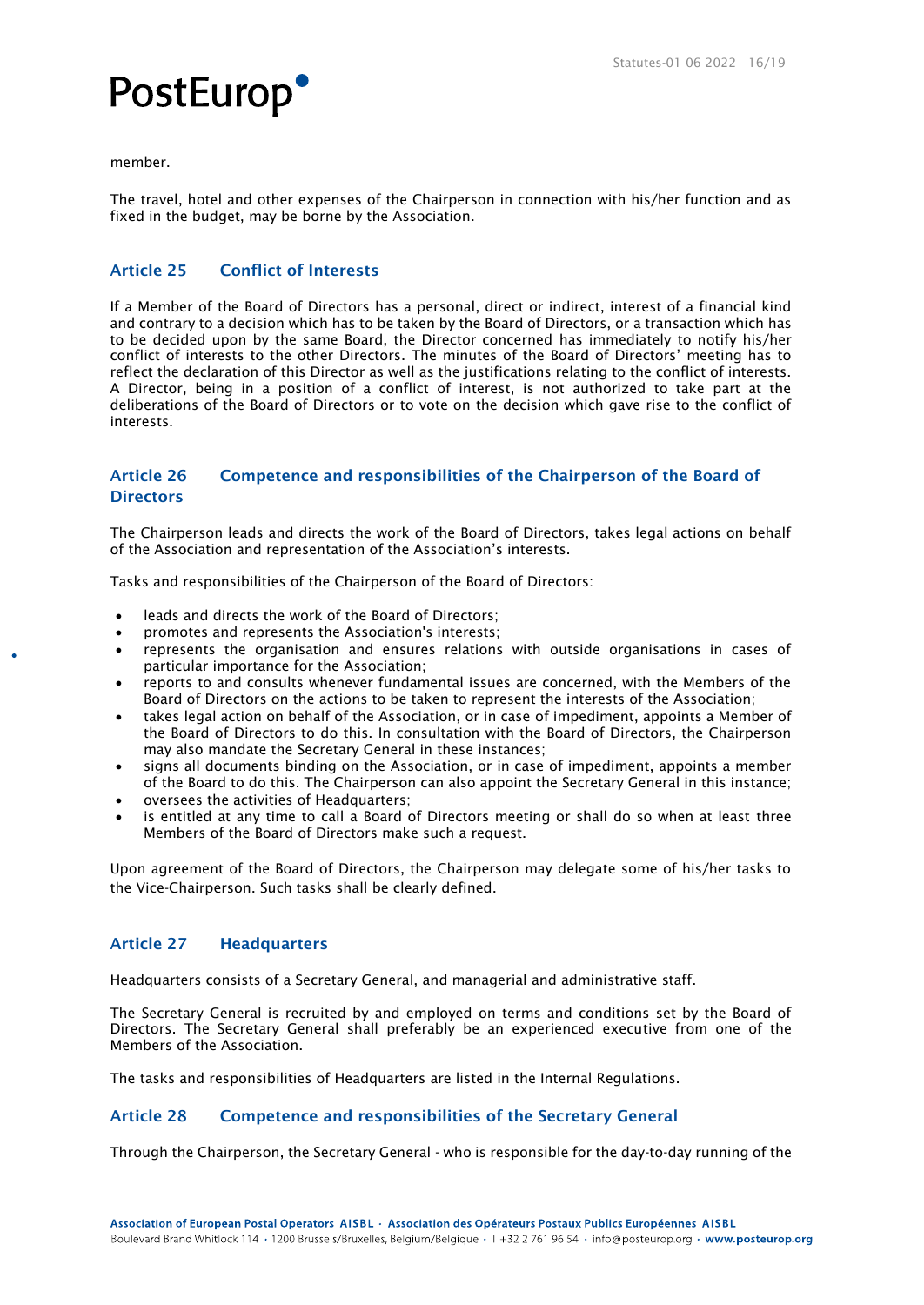

member.

The travel, hotel and other expenses of the Chairperson in connection with his/her function and as fixed in the budget, may be borne by the Association.

### Article 25 Conflict of Interests

If a Member of the Board of Directors has a personal, direct or indirect, interest of a financial kind and contrary to a decision which has to be taken by the Board of Directors, or a transaction which has to be decided upon by the same Board, the Director concerned has immediately to notify his/her conflict of interests to the other Directors. The minutes of the Board of Directors' meeting has to reflect the declaration of this Director as well as the justifications relating to the conflict of interests. A Director, being in a position of a conflict of interest, is not authorized to take part at the deliberations of the Board of Directors or to vote on the decision which gave rise to the conflict of interests.

### Article 26 Competence and responsibilities of the Chairperson of the Board of **Directors**

The Chairperson leads and directs the work of the Board of Directors, takes legal actions on behalf of the Association and representation of the Association's interests.

Tasks and responsibilities of the Chairperson of the Board of Directors:

- leads and directs the work of the Board of Directors;
- promotes and represents the Association's interests;
- represents the organisation and ensures relations with outside organisations in cases of particular importance for the Association;
- reports to and consults whenever fundamental issues are concerned, with the Members of the Board of Directors on the actions to be taken to represent the interests of the Association;
- takes legal action on behalf of the Association, or in case of impediment, appoints a Member of the Board of Directors to do this. In consultation with the Board of Directors, the Chairperson may also mandate the Secretary General in these instances;
- signs all documents binding on the Association, or in case of impediment, appoints a member of the Board to do this. The Chairperson can also appoint the Secretary General in this instance;
- oversees the activities of Headquarters;
- is entitled at any time to call a Board of Directors meeting or shall do so when at least three Members of the Board of Directors make such a request.

Upon agreement of the Board of Directors, the Chairperson may delegate some of his/her tasks to the Vice-Chairperson. Such tasks shall be clearly defined.

### Article 27 Headquarters

Headquarters consists of a Secretary General, and managerial and administrative staff.

The Secretary General is recruited by and employed on terms and conditions set by the Board of Directors. The Secretary General shall preferably be an experienced executive from one of the Members of the Association.

The tasks and responsibilities of Headquarters are listed in the Internal Regulations.

### Article 28 Competence and responsibilities of the Secretary General

Through the Chairperson, the Secretary General - who is responsible for the day-to-day running of the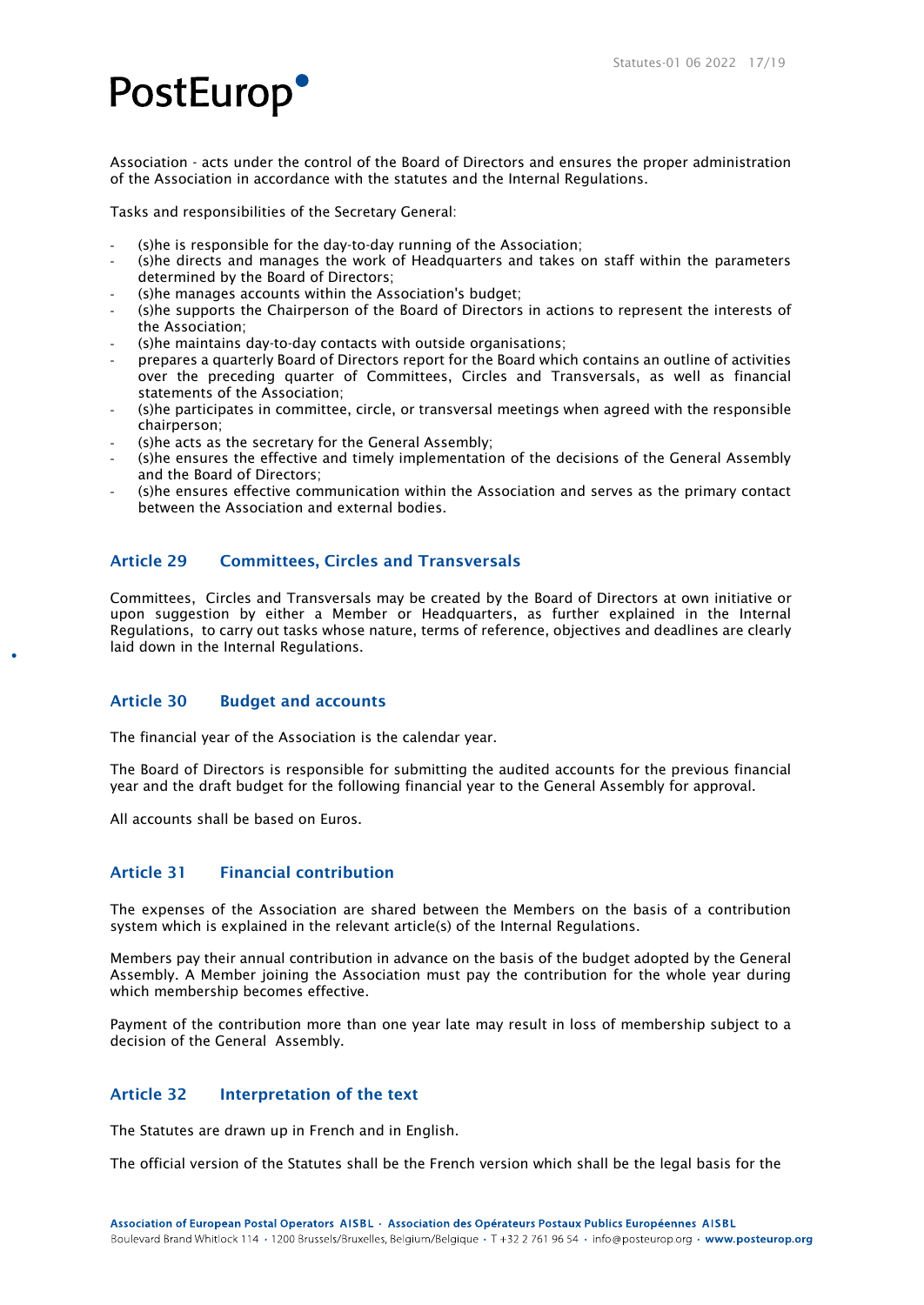Association - acts under the control of the Board of Directors and ensures the proper administration of the Association in accordance with the statutes and the Internal Regulations.

Tasks and responsibilities of the Secretary General:

- (s)he is responsible for the day-to-day running of the Association;
- (s)he directs and manages the work of Headquarters and takes on staff within the parameters determined by the Board of Directors;
- (s)he manages accounts within the Association's budget;
- (s)he supports the Chairperson of the Board of Directors in actions to represent the interests of the Association;
- (s)he maintains day-to-day contacts with outside organisations;
- prepares a quarterly Board of Directors report for the Board which contains an outline of activities over the preceding quarter of Committees, Circles and Transversals, as well as financial statements of the Association;
- (s)he participates in committee, circle, or transversal meetings when agreed with the responsible chairperson;
- (s)he acts as the secretary for the General Assembly;
- (s)he ensures the effective and timely implementation of the decisions of the General Assembly and the Board of Directors;
- (s)he ensures effective communication within the Association and serves as the primary contact between the Association and external bodies.

### Article 29 Committees, Circles and Transversals

Committees, Circles and Transversals may be created by the Board of Directors at own initiative or upon suggestion by either a Member or Headquarters, as further explained in the Internal Regulations, to carry out tasks whose nature, terms of reference, objectives and deadlines are clearly laid down in the Internal Regulations.

### Article 30 Budget and accounts

The financial year of the Association is the calendar year.

The Board of Directors is responsible for submitting the audited accounts for the previous financial year and the draft budget for the following financial year to the General Assembly for approval.

All accounts shall be based on Euros.

### Article 31 Financial contribution

The expenses of the Association are shared between the Members on the basis of a contribution system which is explained in the relevant article(s) of the Internal Regulations.

Members pay their annual contribution in advance on the basis of the budget adopted by the General Assembly. A Member joining the Association must pay the contribution for the whole year during which membership becomes effective.

Payment of the contribution more than one year late may result in loss of membership subject to a decision of the General Assembly.

### Article 32 Interpretation of the text

The Statutes are drawn up in French and in English.

The official version of the Statutes shall be the French version which shall be the legal basis for the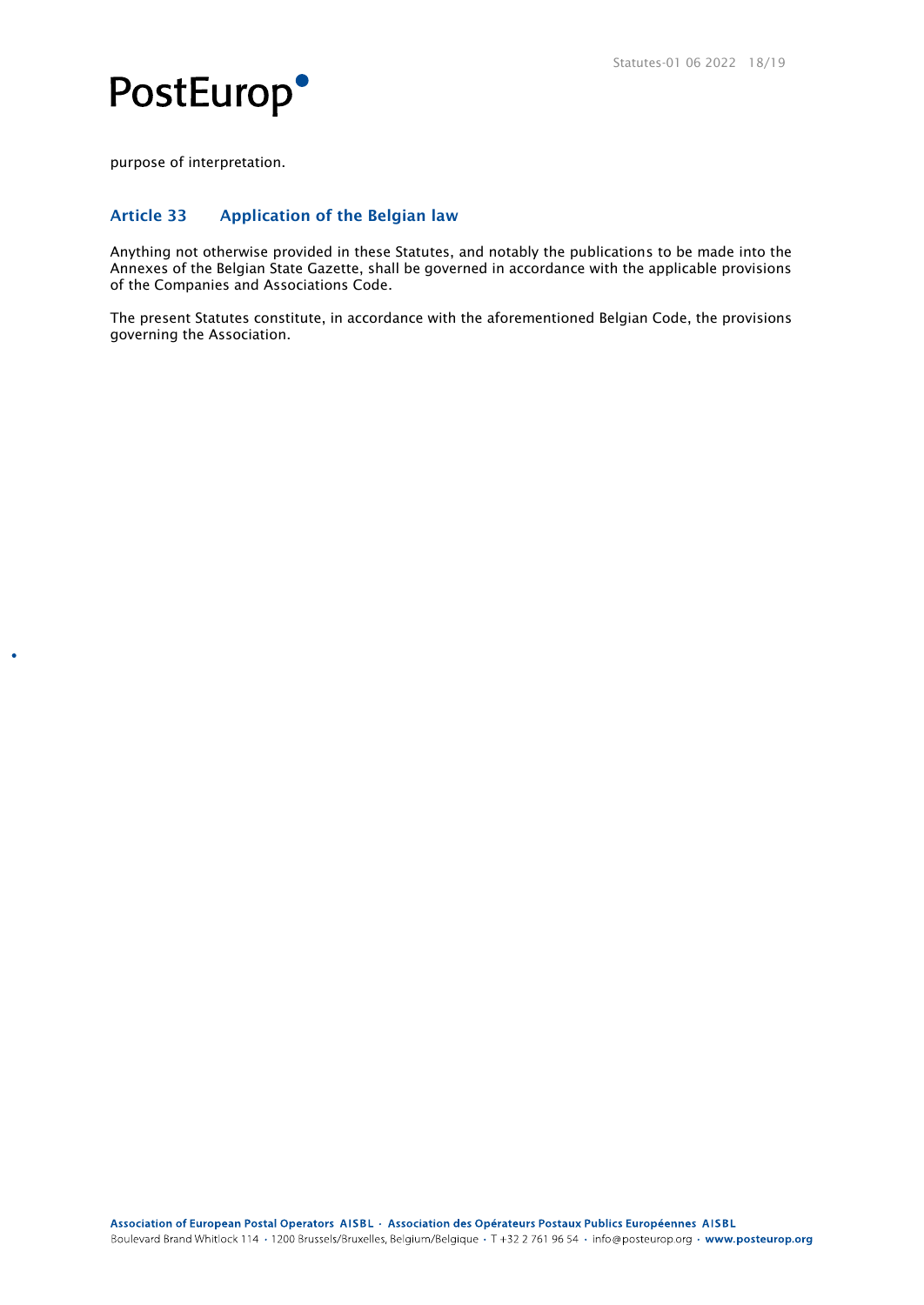



purpose of interpretation.

**C** 

### Article 33 Application of the Belgian law

Anything not otherwise provided in these Statutes, and notably the publications to be made into the Annexes of the Belgian State Gazette, shall be governed in accordance with the applicable provisions of the Companies and Associations Code.

The present Statutes constitute, in accordance with the aforementioned Belgian Code, the provisions governing the Association.